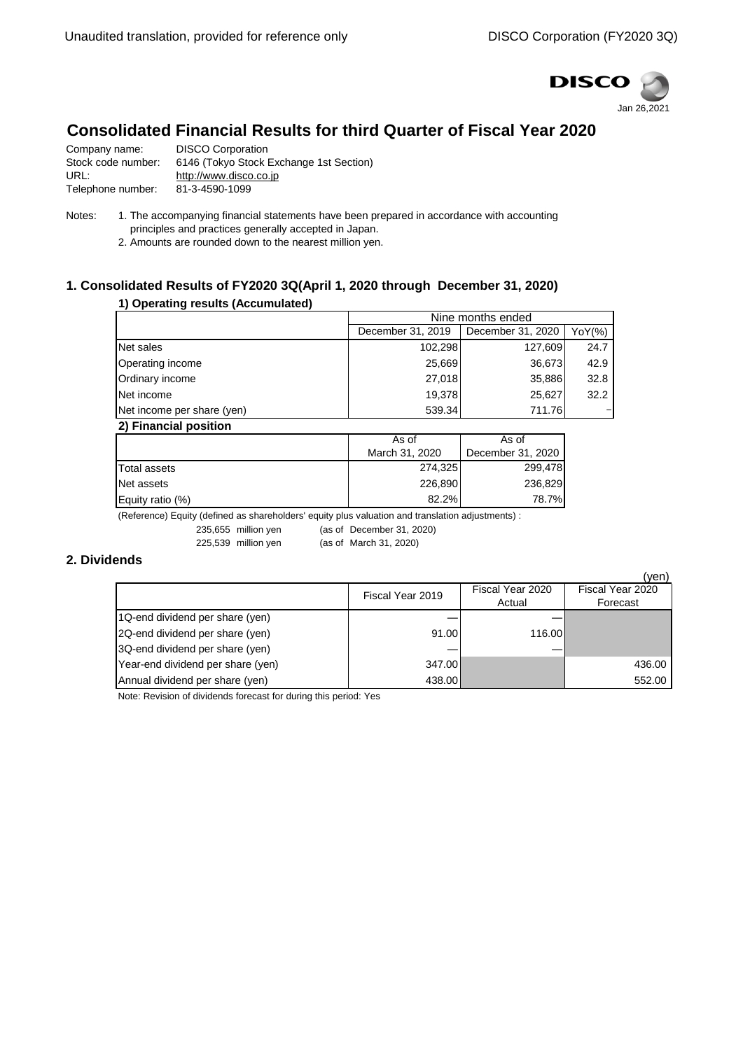

# **Consolidated Financial Results for third Quarter of Fiscal Year 2020**

| Company name:      | <b>DISCO Corporation</b>                |
|--------------------|-----------------------------------------|
| Stock code number: | 6146 (Tokyo Stock Exchange 1st Section) |
| URL:               | http://www.disco.co.jp                  |
| Telephone number:  | 81-3-4590-1099                          |
|                    |                                         |

Notes: 1. The accompanying financial statements have been prepared in accordance with accounting principles and practices generally accepted in Japan.

2. Amounts are rounded down to the nearest million yen.

# **1. Consolidated Results of FY2020 3Q(April 1, 2020 through December 31, 2020)**

#### **1) Operating results (Accumulated)**

|                            | Nine months ended |                   |        |
|----------------------------|-------------------|-------------------|--------|
|                            | December 31, 2019 | December 31, 2020 | YoY(%) |
| Net sales                  | 102,298           | 127,609           | 24.7   |
| Operating income           | 25,669            | 36,673            | 42.9   |
| Ordinary income            | 27.018            | 35,886            | 32.8   |
| Net income                 | 19.378            | 25.627            | 32.2   |
| Net income per share (yen) | 539.34            | 711.76            |        |
| 2) Financial nosition      |                   |                   |        |

| 41 HII HII WANDA DUSHI U I |                |                   |  |
|----------------------------|----------------|-------------------|--|
|                            | As of          | As of             |  |
|                            | March 31, 2020 | December 31, 2020 |  |
| Total assets               | 274,325        | 299,478           |  |
| Net assets                 | 226,890        | 236,829           |  |
| Equity ratio $(\%)$        | 82.2%          | 78.7%             |  |

(Reference) Equity (defined as shareholders' equity plus valuation and translation adjustments) :

235,655 million yen (as of December 31, 2020) 225,539 million yen (as of March 31, 2020)

### **2. Dividends**

|                                   |                  |                  | (ven)            |
|-----------------------------------|------------------|------------------|------------------|
|                                   | Fiscal Year 2019 | Fiscal Year 2020 | Fiscal Year 2020 |
|                                   |                  | Actual           | Forecast         |
| 1Q-end dividend per share (yen)   |                  |                  |                  |
| 2Q-end dividend per share (yen)   | 91.00            | 116.00           |                  |
| 3Q-end dividend per share (yen)   |                  |                  |                  |
| Year-end dividend per share (yen) | 347.00           |                  | 436.00           |
| Annual dividend per share (yen)   | 438.00           |                  | 552.00           |

Note: Revision of dividends forecast for during this period: Yes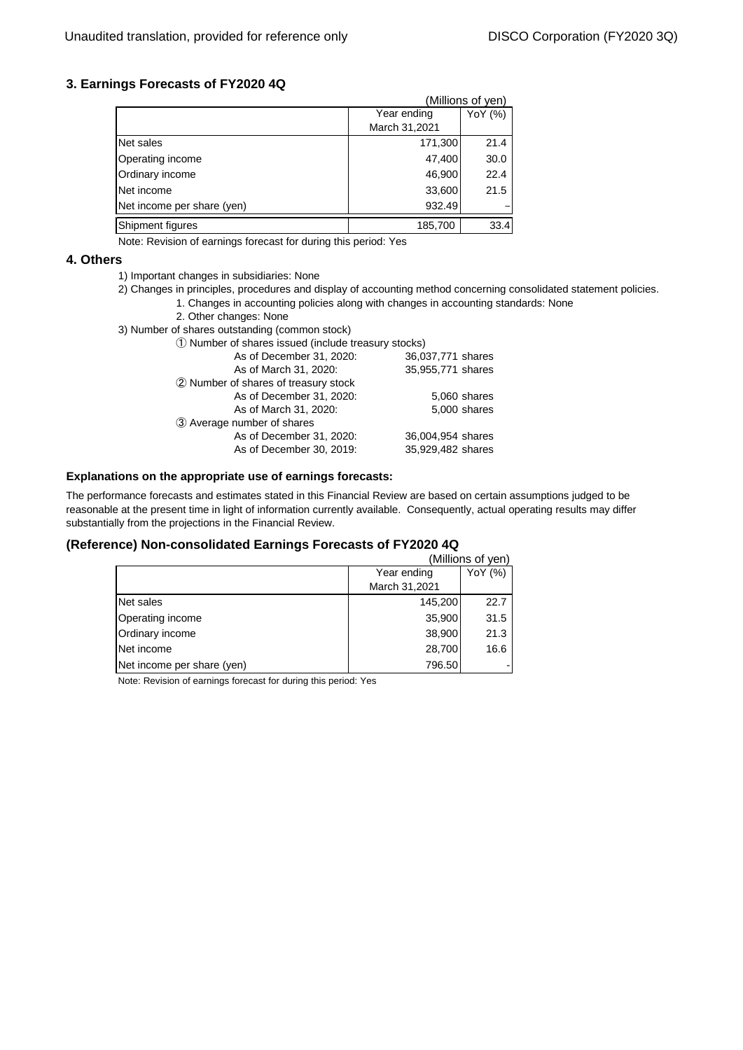## **3. Earnings Forecasts of FY2020 4Q**

|                            |               | (Millions of Ven) |
|----------------------------|---------------|-------------------|
|                            | Year ending   | YoY (%)           |
|                            | March 31,2021 |                   |
| Net sales                  | 171,300       | 21.4              |
| Operating income           | 47,400        | 30.0              |
| Ordinary income            | 46,900        | 22.4              |
| Net income                 | 33,600        | 21.5              |
| Net income per share (yen) | 932.49        |                   |
| Shipment figures           | 185,700       | 33.4              |

Note: Revision of earnings forecast for during this period: Yes

#### **4. Others**

- 1) Important changes in subsidiaries: None
- 1. Changes in accounting policies along with changes in accounting standards: None 2) Changes in principles, procedures and display of accounting method concerning consolidated statement policies.

 $\ell$  and  $\ell$  yens of  $\ell$ 

- 2. Other changes: None
- 3) Number of shares outstanding (common stock)
	- ① Number of shares issued (include treasury stocks) As of December 31, 2020: 36,037,771 shares As of March 31, 2020: 35,955,771 shares ② Number of shares of treasury stock As of December 31, 2020: 5,060 shares<br>As of March 31, 2020: 5,000 shares As of March 31, 2020: ③ Average number of shares As of December 31, 2020: 36,004,954 shares As of December 30, 2019: 35,929,482 shares

### **Explanations on the appropriate use of earnings forecasts:**

The performance forecasts and estimates stated in this Financial Review are based on certain assumptions judged to be reasonable at the present time in light of information currently available. Consequently, actual operating results may differ substantially from the projections in the Financial Review.

#### **(Reference) Non-consolidated Earnings Forecasts of FY2020 4Q**

|                            |               | (Millions of yen) |
|----------------------------|---------------|-------------------|
|                            | Year ending   | YoY (%)           |
|                            | March 31,2021 |                   |
| Net sales                  | 145,200       | 22.7              |
| Operating income           | 35,900        | 31.5              |
| Ordinary income            | 38,900        | 21.3              |
| Net income                 | 28,700        | 16.6              |
| Net income per share (yen) | 796.50        |                   |

Note: Revision of earnings forecast for during this period: Yes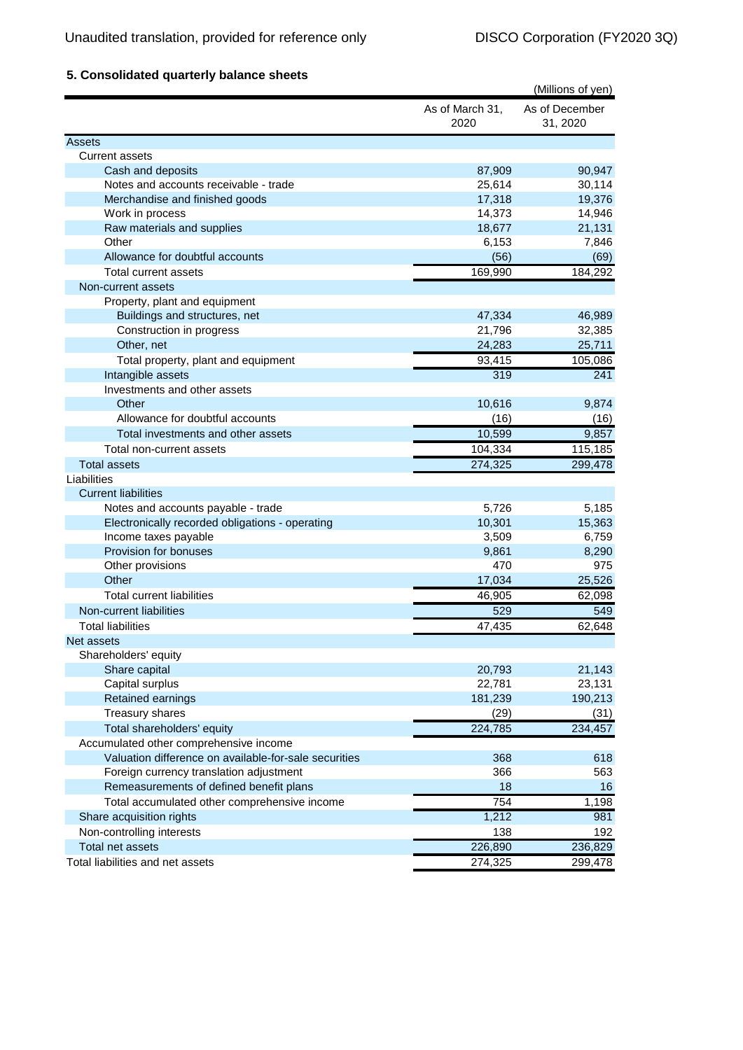# **5. Consolidated quarterly balance sheets**

|                                                       |                         | (Millions of yen)          |
|-------------------------------------------------------|-------------------------|----------------------------|
|                                                       | As of March 31,<br>2020 | As of December<br>31, 2020 |
| Assets                                                |                         |                            |
| <b>Current assets</b>                                 |                         |                            |
| Cash and deposits                                     | 87,909                  | 90,947                     |
| Notes and accounts receivable - trade                 | 25,614                  | 30,114                     |
| Merchandise and finished goods                        | 17,318                  | 19,376                     |
| Work in process                                       | 14,373                  | 14,946                     |
| Raw materials and supplies                            | 18,677                  | 21,131                     |
| Other                                                 | 6,153                   | 7,846                      |
| Allowance for doubtful accounts                       | (56)                    | (69)                       |
| <b>Total current assets</b>                           | 169,990                 | 184,292                    |
| Non-current assets                                    |                         |                            |
| Property, plant and equipment                         |                         |                            |
| Buildings and structures, net                         | 47,334                  | 46,989                     |
| Construction in progress                              | 21,796                  | 32,385                     |
| Other, net                                            | 24,283                  | 25,711                     |
| Total property, plant and equipment                   | 93,415                  | 105,086                    |
| Intangible assets                                     | 319                     | 241                        |
| Investments and other assets                          |                         |                            |
| Other                                                 | 10,616                  | 9,874                      |
| Allowance for doubtful accounts                       | (16)                    | (16)                       |
| Total investments and other assets                    | 10,599                  | 9,857                      |
| Total non-current assets                              | 104,334                 | 115,185                    |
| <b>Total assets</b>                                   | 274,325                 | 299,478                    |
| Liabilities                                           |                         |                            |
| <b>Current liabilities</b>                            |                         |                            |
| Notes and accounts payable - trade                    | 5,726                   | 5,185                      |
| Electronically recorded obligations - operating       | 10,301                  | 15,363                     |
| Income taxes payable                                  | 3,509                   | 6,759                      |
| Provision for bonuses                                 | 9,861                   | 8,290                      |
| Other provisions                                      | 470                     | 975                        |
| Other                                                 | 17,034                  | 25,526                     |
|                                                       |                         |                            |
| <b>Total current liabilities</b>                      | 46,905                  | 62,098                     |
| Non-current liabilities                               | 529                     | 549                        |
| <b>Total liabilities</b>                              | 47,435                  | 62,648                     |
| Net assets                                            |                         |                            |
| Shareholders' equity                                  |                         |                            |
| Share capital                                         | 20,793                  | 21,143                     |
| Capital surplus                                       | 22,781                  | 23,131                     |
| Retained earnings                                     | 181,239                 | 190,213                    |
| <b>Treasury shares</b>                                | (29)                    | (31)                       |
| Total shareholders' equity                            | 224,785                 | 234,457                    |
| Accumulated other comprehensive income                |                         |                            |
| Valuation difference on available-for-sale securities | 368                     | 618                        |
| Foreign currency translation adjustment               | 366                     | 563                        |
| Remeasurements of defined benefit plans               | 18                      | 16                         |
| Total accumulated other comprehensive income          | 754                     | 1,198                      |
| Share acquisition rights                              | 1,212                   | 981                        |
| Non-controlling interests                             | 138                     | 192                        |
| Total net assets                                      | 226,890                 | 236,829                    |
| Total liabilities and net assets                      | 274,325                 | 299,478                    |